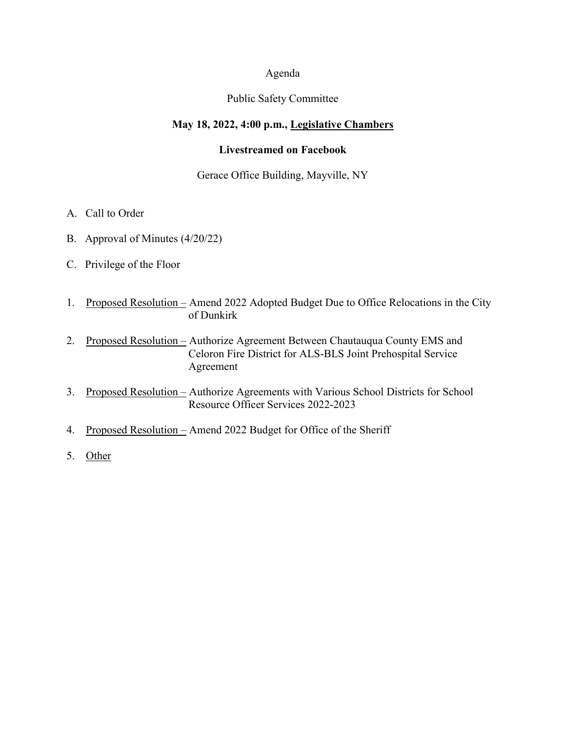### Agenda

## Public Safety Committee

# **May 18, 2022, 4:00 p.m., Legislative Chambers**

### **Livestreamed on Facebook**

#### Gerace Office Building, Mayville, NY

- A. Call to Order
- B. Approval of Minutes (4/20/22)
- C. Privilege of the Floor
- 1. Proposed Resolution Amend 2022 Adopted Budget Due to Office Relocations in the City of Dunkirk
- 2. Proposed Resolution Authorize Agreement Between Chautauqua County EMS and Celoron Fire District for ALS-BLS Joint Prehospital Service Agreement
- 3. Proposed Resolution Authorize Agreements with Various School Districts for School Resource Officer Services 2022-2023
- 4. Proposed Resolution Amend 2022 Budget for Office of the Sheriff
- 5. Other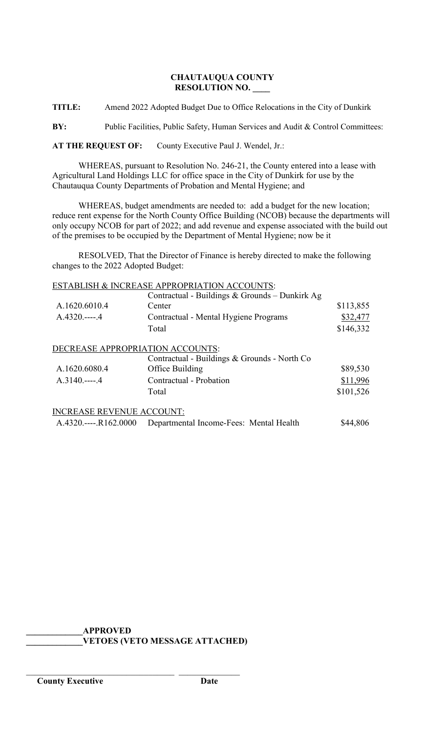## **CHAUTAUQUA COUNTY RESOLUTION NO. \_\_\_\_**

**TITLE:** Amend 2022 Adopted Budget Due to Office Relocations in the City of Dunkirk

**BY:** Public Facilities, Public Safety, Human Services and Audit & Control Committees:

**AT THE REQUEST OF:** County Executive Paul J. Wendel, Jr.:

WHEREAS, pursuant to Resolution No. 246-21, the County entered into a lease with Agricultural Land Holdings LLC for office space in the City of Dunkirk for use by the Chautauqua County Departments of Probation and Mental Hygiene; and

WHEREAS, budget amendments are needed to: add a budget for the new location; reduce rent expense for the North County Office Building (NCOB) because the departments will only occupy NCOB for part of 2022; and add revenue and expense associated with the build out of the premises to be occupied by the Department of Mental Hygiene; now be it

RESOLVED, That the Director of Finance is hereby directed to make the following changes to the 2022 Adopted Budget:

### ESTABLISH & INCREASE APPROPRIATION ACCOUNTS:

|                                  | Contractual - Buildings & Grounds - Dunkirk Ag |           |
|----------------------------------|------------------------------------------------|-----------|
| A.1620.6010.4                    | Center                                         | \$113,855 |
| $A.4320---4$                     | Contractual - Mental Hygiene Programs          | \$32,477  |
|                                  | Total                                          | \$146,332 |
| DECREASE APPROPRIATION ACCOUNTS: |                                                |           |
|                                  | Contractual - Buildings & Grounds - North Co   |           |
| A.1620.6080.4                    | Office Building                                | \$89,530  |
| $A.3140---4$                     | Contractual - Probation                        | \$11,996  |
|                                  | Total                                          | \$101,526 |
| <b>INCREASE REVENUE ACCOUNT:</b> |                                                |           |
| $A.4320$ $R162.0000$             | Departmental Income-Fees: Mental Health        | \$44,806  |

**\_\_\_\_\_\_\_\_\_\_\_\_\_APPROVED**

\_\_\_\_\_\_\_\_\_\_\_\_\_\_\_\_\_\_\_\_\_\_\_\_\_\_\_\_\_\_\_\_\_\_ \_\_\_\_\_\_\_\_\_\_\_\_\_\_

**\_\_\_\_\_\_\_\_\_\_\_\_\_VETOES (VETO MESSAGE ATTACHED)**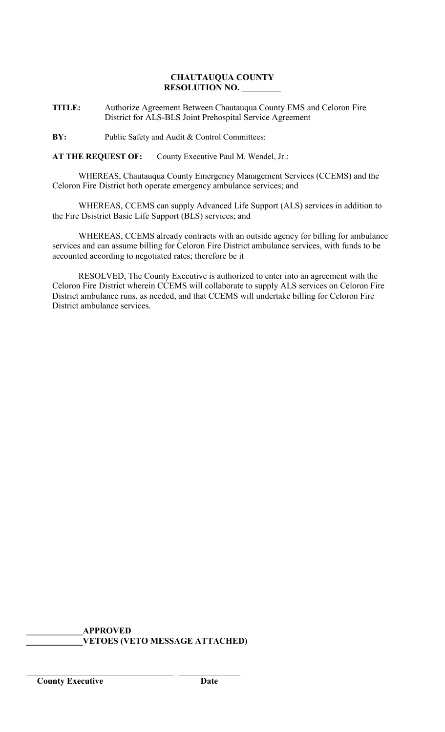## **CHAUTAUQUA COUNTY RESOLUTION NO. \_\_\_\_\_\_\_\_\_**

**TITLE:** Authorize Agreement Between Chautauqua County EMS and Celoron Fire District for ALS-BLS Joint Prehospital Service Agreement

**BY:** Public Safety and Audit & Control Committees:

**AT THE REQUEST OF:** County Executive Paul M. Wendel, Jr.:

WHEREAS, Chautauqua County Emergency Management Services (CCEMS) and the Celoron Fire District both operate emergency ambulance services; and

WHEREAS, CCEMS can supply Advanced Life Support (ALS) services in addition to the Fire Dsistrict Basic Life Support (BLS) services; and

WHEREAS, CCEMS already contracts with an outside agency for billing for ambulance services and can assume billing for Celoron Fire District ambulance services, with funds to be accounted according to negotiated rates; therefore be it

RESOLVED, The County Executive is authorized to enter into an agreement with the Celoron Fire District wherein CCEMS will collaborate to supply ALS services on Celoron Fire District ambulance runs, as needed, and that CCEMS will undertake billing for Celoron Fire District ambulance services.

**\_\_\_\_\_\_\_\_\_\_\_\_\_APPROVED \_\_\_\_\_\_\_\_\_\_\_\_\_VETOES (VETO MESSAGE ATTACHED)**

\_\_\_\_\_\_\_\_\_\_\_\_\_\_\_\_\_\_\_\_\_\_\_\_\_\_\_\_\_\_\_\_\_\_ \_\_\_\_\_\_\_\_\_\_\_\_\_\_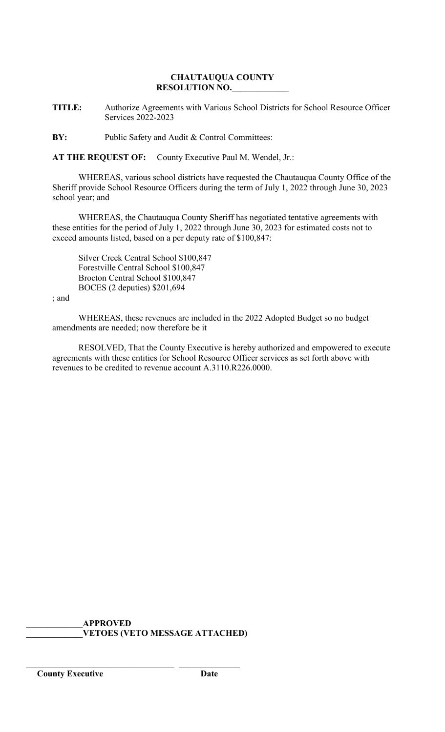## **CHAUTAUQUA COUNTY RESOLUTION NO.\_\_\_\_\_\_\_\_\_\_\_\_\_**

**TITLE:** Authorize Agreements with Various School Districts for School Resource Officer Services 2022-2023

**BY:** Public Safety and Audit & Control Committees:

**AT THE REQUEST OF:** County Executive Paul M. Wendel, Jr.:

WHEREAS, various school districts have requested the Chautauqua County Office of the Sheriff provide School Resource Officers during the term of July 1, 2022 through June 30, 2023 school year; and

WHEREAS, the Chautauqua County Sheriff has negotiated tentative agreements with these entities for the period of July 1, 2022 through June 30, 2023 for estimated costs not to exceed amounts listed, based on a per deputy rate of \$100,847:

Silver Creek Central School \$100,847 Forestville Central School \$100,847 Brocton Central School \$100,847 BOCES (2 deputies) \$201,694

; and

WHEREAS, these revenues are included in the 2022 Adopted Budget so no budget amendments are needed; now therefore be it

RESOLVED, That the County Executive is hereby authorized and empowered to execute agreements with these entities for School Resource Officer services as set forth above with revenues to be credited to revenue account A.3110.R226.0000.

**\_\_\_\_\_\_\_\_\_\_\_\_\_APPROVED \_\_\_\_\_\_\_\_\_\_\_\_\_VETOES (VETO MESSAGE ATTACHED)**

\_\_\_\_\_\_\_\_\_\_\_\_\_\_\_\_\_\_\_\_\_\_\_\_\_\_\_\_\_\_\_\_\_\_ \_\_\_\_\_\_\_\_\_\_\_\_\_\_